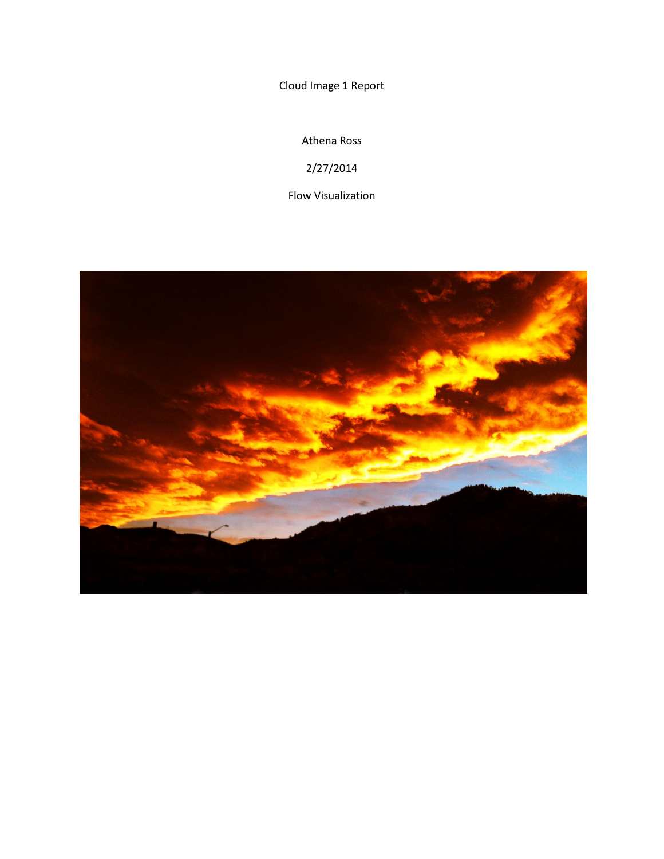Cloud Image 1 Report

Athena Ross

2/27/2014

Flow Visualization

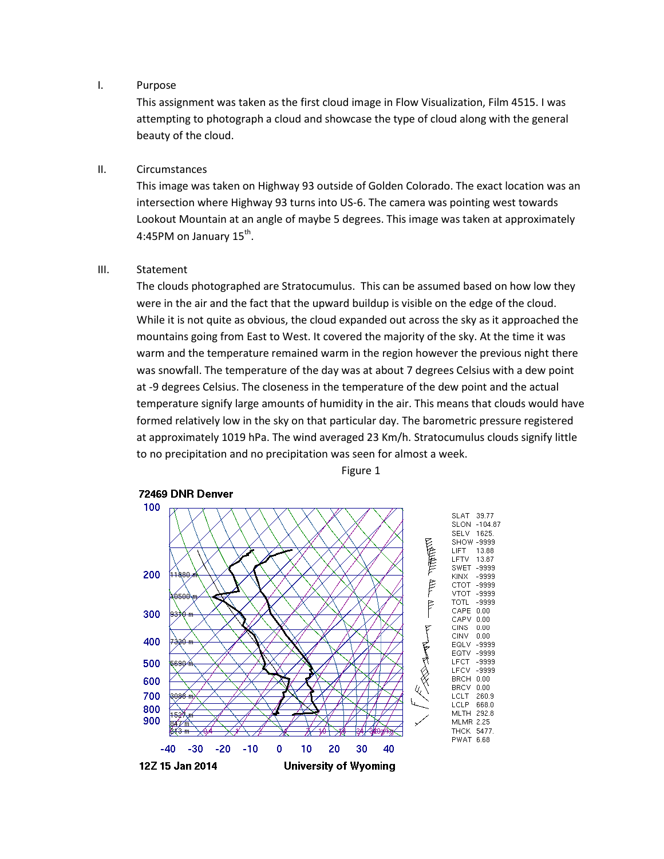#### I. Purpose

This assignment was taken as the first cloud image in Flow Visualization, Film 4515. I was attempting to photograph a cloud and showcase the type of cloud along with the general beauty of the cloud.

## II. Circumstances

This image was taken on Highway 93 outside of Golden Colorado. The exact location was an intersection where Highway 93 turns into US-6. The camera was pointing west towards Lookout Mountain at an angle of maybe 5 degrees. This image was taken at approximately 4:45PM on January 15<sup>th</sup>.

## III. Statement

The clouds photographed are Stratocumulus. This can be assumed based on how low they were in the air and the fact that the upward buildup is visible on the edge of the cloud. While it is not quite as obvious, the cloud expanded out across the sky as it approached the mountains going from East to West. It covered the majority of the sky. At the time it was warm and the temperature remained warm in the region however the previous night there was snowfall. The temperature of the day was at about 7 degrees Celsius with a dew point at -9 degrees Celsius. The closeness in the temperature of the dew point and the actual temperature signify large amounts of humidity in the air. This means that clouds would have formed relatively low in the sky on that particular day. The barometric pressure registered at approximately 1019 hPa. The wind averaged 23 Km/h. Stratocumulus clouds signify little to no precipitation and no precipitation was seen for almost a week.



Figure 1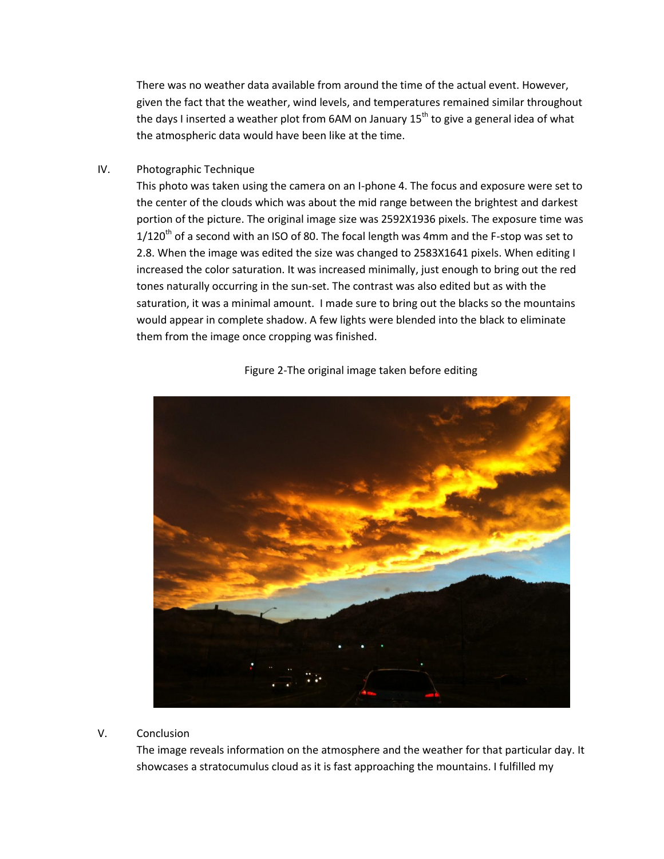There was no weather data available from around the time of the actual event. However, given the fact that the weather, wind levels, and temperatures remained similar throughout the days I inserted a weather plot from 6AM on January  $15<sup>th</sup>$  to give a general idea of what the atmospheric data would have been like at the time.

## IV. Photographic Technique

This photo was taken using the camera on an I-phone 4. The focus and exposure were set to the center of the clouds which was about the mid range between the brightest and darkest portion of the picture. The original image size was 2592X1936 pixels. The exposure time was  $1/120^{th}$  of a second with an ISO of 80. The focal length was 4mm and the F-stop was set to 2.8. When the image was edited the size was changed to 2583X1641 pixels. When editing I increased the color saturation. It was increased minimally, just enough to bring out the red tones naturally occurring in the sun-set. The contrast was also edited but as with the saturation, it was a minimal amount. I made sure to bring out the blacks so the mountains would appear in complete shadow. A few lights were blended into the black to eliminate them from the image once cropping was finished.



# Figure 2-The original image taken before editing

#### V. Conclusion

The image reveals information on the atmosphere and the weather for that particular day. It showcases a stratocumulus cloud as it is fast approaching the mountains. I fulfilled my